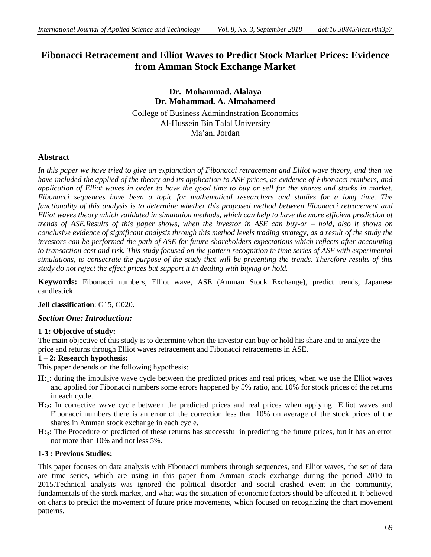# **Fibonacci Retracement and Elliot Waves to Predict Stock Market Prices: Evidence from Amman Stock Exchange Market**

## **Dr. Mohammad. Alalaya Dr. Mohammad. A. Almahameed** College of Business Admindnstration Economics Al-Hussein Bin Talal University Ma'an, Jordan

## **Abstract**

*In this paper we have tried to give an explanation of Fibonacci retracement and Elliot wave theory, and then we have included the applied of the theory and its application to ASE prices, as evidence of Fibonacci numbers, and application of Elliot waves in order to have the good time to buy or sell for the shares and stocks in market. Fibonacci sequences have been a topic for mathematical researchers and studies for a long time. The functionality of this analysis is to determine whether this proposed method between Fibonacci retracement and Elliot waves theory which validated in simulation methods, which can help to have the more efficient prediction of trends of ASE.Results of this paper shows, when the investor in ASE can buy-or – hold, also it shows on conclusive evidence of significant analysis through this method levels trading strategy, as a result of the study the investors can be performed the path of ASE for future shareholders expectations which reflects after accounting to transaction cost and risk. This study focused on the pattern recognition in time series of ASE with experimental simulations, to consecrate the purpose of the study that will be presenting the trends. Therefore results of this study do not reject the effect prices but support it in dealing with buying or hold.* 

**Keywords:** Fibonacci numbers, Elliot wave, ASE (Amman Stock Exchange), predict trends, Japanese candlestick.

### **Jell classification**: G15, G020.

### *Section One: Introduction:*

#### **1-1: Objective of study:**

The main objective of this study is to determine when the investor can buy or hold his share and to analyze the price and returns through Elliot waves retracement and Fibonacci retracements in ASE.

#### **1 – 2: Research hypothesis:**

This paper depends on the following hypothesis:

- **H:1:** during the impulsive wave cycle between the predicted prices and real prices, when we use the Elliot waves and applied for Fibonacci numbers some errors happened by 5% ratio, and 10% for stock prices of the returns in each cycle.
- **H:2:** In corrective wave cycle between the predicted prices and real prices when applying Elliot waves and Fibonacci numbers there is an error of the correction less than 10% on average of the stock prices of the shares in Amman stock exchange in each cycle.
- **H:3:** The Procedure of predicted of these returns has successful in predicting the future prices, but it has an error not more than 10% and not less 5%.

### **1-3 : Previous Studies:**

This paper focuses on data analysis with Fibonacci numbers through sequences, and Elliot waves, the set of data are time series, which are using in this paper from Amman stock exchange during the period 2010 to 2015.Technical analysis was ignored the political disorder and social crashed event in the community, fundamentals of the stock market, and what was the situation of economic factors should be affected it. It believed on charts to predict the movement of future price movements, which focused on recognizing the chart movement patterns.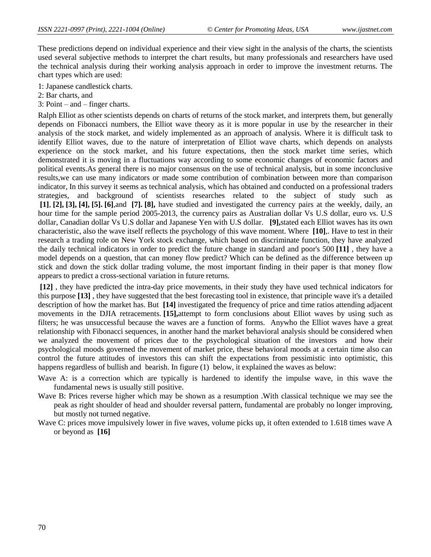These predictions depend on individual experience and their view sight in the analysis of the charts, the scientists used several subjective methods to interpret the chart results, but many professionals and researchers have used the technical analysis during their working analysis approach in order to improve the investment returns. The chart types which are used:

- 1: Japanese candlestick charts.
- 2: Bar charts, and
- 3: Point and finger charts.

Ralph Elliot as other scientists depends on charts of returns of the stock market, and interprets them, but generally depends on Fibonacci numbers, the Elliot wave theory as it is more popular in use by the researcher in their analysis of the stock market, and widely implemented as an approach of analysis. Where it is difficult task to identify Elliot waves, due to the nature of interpretation of Elliot wave charts, which depends on analysts experience on the stock market, and his future expectations, then the stock market time series, which demonstrated it is moving in a fluctuations way according to some economic changes of economic factors and political events.As general there is no major consensus on the use of technical analysis, but in some inconclusive results,we can use many indicators or made some contribution of combination between more than comparison indicator, In this survey it seems as technical analysis, which has obtained and conducted on a professional traders strategies, and background of scientists researches related to the subject of study such as **[1]**, **[2], [3], [4], [5]. [6]**,and **[7]. [8],** have studied and investigated the currency pairs at the weekly, daily, an hour time for the sample period 2005-2013, the currency pairs as Australian dollar Vs U.S dollar, euro vs. U.S dollar, Canadian dollar Vs U.S dollar and Japanese Yen with U.S dollar. **[9],**stated each Elliot waves has its own characteristic, also the wave itself reflects the psychology of this wave moment. Where **[10]**,. Have to test in their research a trading role on New York stock exchange, which based on discriminate function, they have analyzed the daily technical indicators in order to predict the future change in standard and poor's 500 **[11]** , they have a model depends on a question, that can money flow predict? Which can be defined as the difference between up stick and down the stick dollar trading volume, the most important finding in their paper is that money flow appears to predict a cross-sectional variation in future returns.

**[12]** , they have predicted the intra-day price movements, in their study they have used technical indicators for this purpose **[13]** , they have suggested that the best forecasting tool in existence, that principle wave it's a detailed description of how the market has. But **[14]** investigated the frequency of price and time ratios attending adjacent movements in the DJIA retracements. **[15],**attempt to form conclusions about Elliot waves by using such as filters; he was unsuccessful because the waves are a function of forms. Anywho the Elliot waves have a great relationship with Fibonacci sequences, in another hand the market behavioral analysis should be considered when we analyzed the movement of prices due to the psychological situation of the investors and how their psychological moods governed the movement of market price, these behavioral moods at a certain time also can control the future attitudes of investors this can shift the expectations from pessimistic into optimistic, this happens regardless of bullish and bearish. In figure (1) below, it explained the waves as below:

- Wave A: is a correction which are typically is hardened to identify the impulse wave, in this wave the fundamental news is usually still positive.
- Wave B: Prices reverse higher which may be shown as a resumption .With classical technique we may see the peak as right shoulder of head and shoulder reversal pattern, fundamental are probably no longer improving, but mostly not turned negative.
- Wave C: prices move impulsively lower in five waves, volume picks up, it often extended to 1.618 times wave A or beyond as **[16]**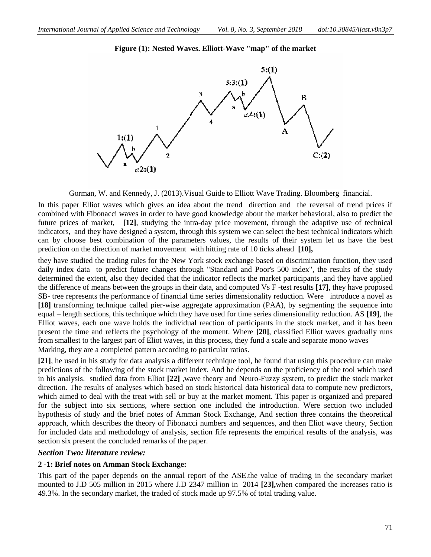

**Figure (1): Nested Waves. Elliott-Wave "map" of the market**

Gorman, W. and Kennedy, J. (2013).Visual Guide to Elliott Wave Trading. Bloomberg financial.

In this paper Elliot waves which gives an idea about the trend direction and the reversal of trend prices if combined with Fibonacci waves in order to have good knowledge about the market behavioral, also to predict the future prices of market, **[12]**, studying the intra-day price movement, through the adaptive use of technical indicators, and they have designed a system, through this system we can select the best technical indicators which can by choose best combination of the parameters values, the results of their system let us have the best prediction on the direction of market movement with hitting rate of 10 ticks ahead **[10],**

they have studied the trading rules for the New York stock exchange based on discrimination function, they used daily index data to predict future changes through "Standard and Poor's 500 index", the results of the study determined the extent, also they decided that the indicator reflects the market participants ,and they have applied the difference of means between the groups in their data, and computed Vs F -test results **[17]**, they have proposed SB- tree represents the performance of financial time series dimensionality reduction. Were introduce a novel as **[18]** transforming technique called pier-wise aggregate approximation (PAA), by segmenting the sequence into equal – length sections, this technique which they have used for time series dimensionality reduction. AS **[19]**, the Elliot waves, each one wave holds the individual reaction of participants in the stock market, and it has been present the time and reflects the psychology of the moment. Where **[20]**, classified Elliot waves gradually runs from smallest to the largest part of Eliot waves, in this process, they fund a scale and separate mono waves Marking, they are a completed pattern according to particular ratios.

**[21]**, he used in his study for data analysis a different technique tool, he found that using this procedure can make predictions of the following of the stock market index. And he depends on the proficiency of the tool which used in his analysis. studied data from Elliot **[22]** ,wave theory and Neuro-Fuzzy system, to predict the stock market direction. The results of analyses which based on stock historical data historical data to compute new predictors, which aimed to deal with the treat with sell or buy at the market moment. This paper is organized and prepared for the subject into six sections, where section one included the introduction. Were section two included hypothesis of study and the brief notes of Amman Stock Exchange, And section three contains the theoretical approach, which describes the theory of Fibonacci numbers and sequences, and then Eliot wave theory, Section for included data and methodology of analysis, section fife represents the empirical results of the analysis, was section six present the concluded remarks of the paper.

### *Section Two: literature review:*

### **2 -1: Brief notes on Amman Stock Exchange:**

This part of the paper depends on the annual report of the ASE.the value of trading in the secondary market mounted to J.D 505 million in 2015 where J.D 2347 million in 2014 **[23],**when compared the increases ratio is 49.3%. In the secondary market, the traded of stock made up 97.5% of total trading value.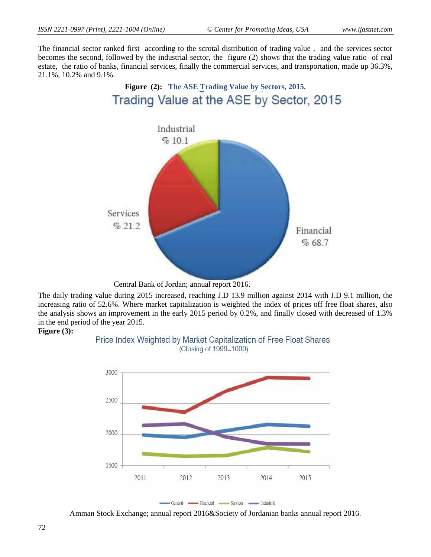The financial sector ranked first according to the scrotal distribution of trading value , and the services sector becomes the second, followed by the industrial sector, the figure (2) shows that the trading value ratio of real estate, the ratio of banks, financial services, finally the commercial services, and transportation, made up 36.3%, 21.1%, 10.2% and 9.1%.

**Figure (2): The ASE Trading Value by Sectors, 2015.**



Central Bank of Jordan; annual report 2016.

The daily trading value during 2015 increased, reaching J.D 13.9 million against 2014 with J.D 9.1 million, the increasing ratio of 52.6%. Where market capitalization is weighted the index of prices off free float shares, also the analysis shows an improvement in the early 2015 period by 0.2%, and finally closed with decreased of 1.3% in the end period of the year 2015.

#### **Figure (3):**





Amman Stock Exchange; annual report 2016&Society of Jordanian banks annual report 2016.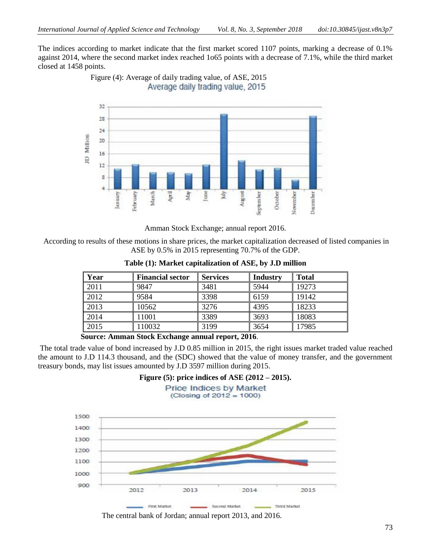The indices according to market indicate that the first market scored 1107 points, marking a decrease of 0.1% against 2014, where the second market index reached 1o65 points with a decrease of 7.1%, while the third market closed at 1458 points.





Amman Stock Exchange; annual report 2016.

According to results of these motions in share prices, the market capitalization decreased of listed companies in ASE by 0.5% in 2015 representing 70.7% of the GDP.

| Year | <b>Financial sector</b> | <b>Services</b> | <b>Industry</b> | <b>Total</b> |
|------|-------------------------|-----------------|-----------------|--------------|
| 2011 | 9847                    | 3481            | 5944            | 19273        |
| 2012 | 9584                    | 3398            | 6159            | 19142        |
| 2013 | 10562                   | 3276            | 4395            | 18233        |
| 2014 | 11001                   | 3389            | 3693            | 18083        |
| 2015 | 110032                  | 3199            | 3654            | 17985        |

**Table (1): Market capitalization of ASE, by J.D million**

 **Source: Amman Stock Exchange annual report, 2016**.

The total trade value of bond increased by J.D 0.85 million in 2015, the right issues market traded value reached the amount to J.D 114.3 thousand, and the (SDC) showed that the value of money transfer, and the government treasury bonds, may list issues amounted by J.D 3597 million during 2015.

**Figure (5): price indices of ASE (2012 – 2015).**

**Price Indices by Market** (Closing of  $2012 = 1000$ )



The central bank of Jordan; annual report 2013, and 2016.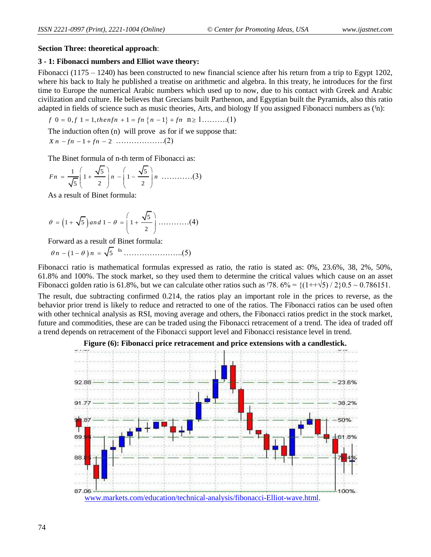#### **Section Three: theoretical approach**:

### **3 - 1: Fibonacci numbers and Elliot wave theory:**

Fibonacci (1175 – 1240) has been constructed to new financial science after his return from a trip to Egypt 1202, where his back to Italy he published a treatise on arithmetic and algebra. In this treaty, he introduces for the first time to Europe the numerical Arabic numbers which used up to now, due to his contact with Greek and Arabic civilization and culture. He believes that Grecians built Parthenon, and Egyptian built the Pyramids, also this ratio adapted in fields of science such as music theories, Arts, and biology If you assigned Fibonacci numbers as ( $\{n\}$ :<br>*f* 0 = 0,  $f$  1 = 1, *thenfn* + 1 =  $fn \{n - 1\} + fn \quad n \ge 1$ ........(1)

$$
f
$$
 0 = 0,  $f$  1 = 1, then  $fn + 1 = fn \{n-1\} + fn \quad n \ge 1$ ........(1)

The induction often (n) will prove as for if we suppose that:

*X n fn fn* 1 2 ……………….(2)

The Binet formula of n-th term of Fibonacci as:

$$
Fn = \frac{1}{\sqrt{5}} \left( 1 + \frac{\sqrt{5}}{2} \right) n - \left( 1 - \frac{\sqrt{5}}{2} \right) n \dots (3)
$$

As a result of Binet formula:

$$
\theta = \left(1 + \sqrt{5}\right) \text{ and } 1 - \theta = \left(1 + \frac{\sqrt{5}}{2}\right) \dots \dots \dots \dots (4)
$$

Forward as a result of Binet formula:

 *n n* 1 5 fn …………………..(5)

Fibonacci ratio is mathematical formulas expressed as ratio, the ratio is stated as: 0%, 23.6%, 38, 2%, 50%, 61.8% and 100%. The stock market, so they used them to determine the critical values which cause on an asset Fibonacci golden ratio is 61.8%, but we can calculate other ratios such as  $\frac{1}{78}$ . 6% =  $\frac{1}{1+\sqrt{5}}$ /2 $\frac{1}{20}$ .5 ~ 0.786151.

The result, due subtracting confirmed 0.214, the ratios play an important role in the prices to reverse, as the behavior prior trend is likely to reduce and retracted to one of the ratios. The Fibonacci ratios can be used often with other technical analysis as RSI, moving average and others, the Fibonacci ratios predict in the stock market, future and commodities, these are can be traded using the Fibonacci retracement of a trend. The idea of traded off a trend depends on retracement of the Fibonacci support level and Fibonacci resistance level in trend.



#### **Figure (6): Fibonacci price retracement and price extensions with a candlestick.**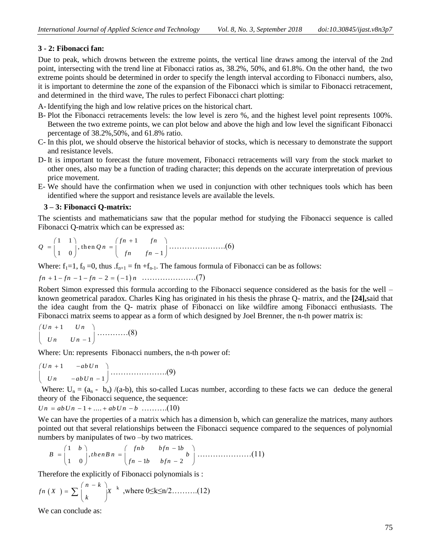### **3 - 2: Fibonacci fan:**

Due to peak, which drowns between the extreme points, the vertical line draws among the interval of the 2nd point, intersecting with the trend line at Fibonacci ratios as, 38.2%, 50%, and 61.8%. On the other hand, the two extreme points should be determined in order to specify the length interval according to Fibonacci numbers, also, it is important to determine the zone of the expansion of the Fibonacci which is similar to Fibonacci retracement, and determined in the third wave, The rules to perfect Fibonacci chart plotting:

A- Identifying the high and low relative prices on the historical chart.

- B- Plot the Fibonacci retracements levels: the low level is zero %, and the highest level point represents 100%. Between the two extreme points, we can plot below and above the high and low level the significant Fibonacci percentage of 38.2%,50%, and 61.8% ratio.
- C- In this plot, we should observe the historical behavior of stocks, which is necessary to demonstrate the support and resistance levels.
- D- It is important to forecast the future movement, Fibonacci retracements will vary from the stock market to other ones, also may be a function of trading character; this depends on the accurate interpretation of previous price movement.
- E- We should have the confirmation when we used in conjunction with other techniques tools which has been identified where the support and resistance levels are available the levels.

#### **3 – 3: Fibonacci Q-matrix:**

The scientists and mathematicians saw that the popular method for studying the Fibonacci sequence is called Fibonacci Q-matrix which can be expressed as:

$$
Q = \begin{pmatrix} 1 & 1 \\ 1 & 0 \end{pmatrix}, \text{ then } Qn = \begin{pmatrix} fn+1 & fn \\ fn & fn-1 \end{pmatrix} \dots \dots \dots \dots \dots \dots \tag{6}
$$

Where:  $f_1=1$ ,  $f_0=0$ , thus  $f_{n+1} = f_1 + f_{n-1}$ . The famous formula of Fibonacci can be as follows:

$$
fn + 1 - fn - 1 - fn - 2 = (-1)n
$$
 (7)

Robert Simon expressed this formula according to the Fibonacci sequence considered as the basis for the well – known geometrical paradox. Charles King has originated in his thesis the phrase Q- matrix, and the **[24],**said that the idea caught from the Q- matrix phase of Fibonacci on like wildfire among Fibonacci enthusiasts. The Fibonacci matrix seems to appear as a form of which designed by Joel Brenner, the n-th power matrix is:

$$
\begin{pmatrix} Un+1 & Un \\ Un & Un-1 \end{pmatrix} \dots \dots \dots \dots \dots (8)
$$

Where: Un: represents Fibonacci numbers, the n-th power of:

$$
\begin{pmatrix}\nUn+1 & -ab \,Un \\
Un & -ab \,Un-1\n\end{pmatrix}
$$
............(9)

Where:  $U_n = (a_n - b_n) / (a-b)$ , this so-called Lucas number, according to these facts we can deduce the general theory of the Fibonacci sequence, the sequence:

*Un = ab Un -* 1 + .... + *ab Un - b* ..........(10)

We can have the properties of a matrix which has a dimension b, which can generalize the matrices, many authors pointed out that several relationships between the Fibonacci sequence compared to the sequences of polynomial

numbers by manipulates of two –by two matrices.  
\n
$$
B = \begin{pmatrix} 1 & b \\ 1 & 0 \end{pmatrix}, then B n = \begin{pmatrix} fhb & bfn - 1b \\ fn - 1b & bfn - 2 \end{pmatrix} \dots (11)
$$

Therefore the explicitly of Fibonacci polynomials is :

$$
fn(X) = \sum {n-k \choose k} X^{k}
$$
, where 0\le k \le n/2........(12)

We can conclude as: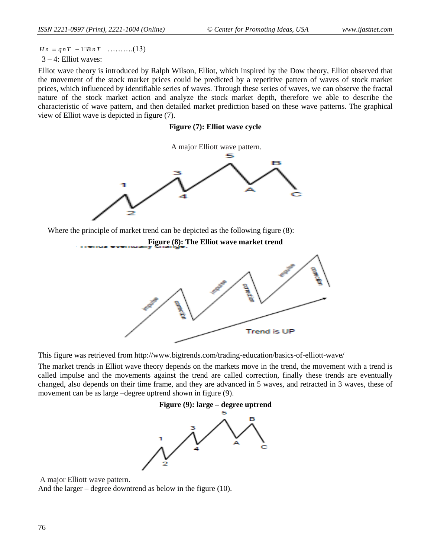$Hn = qnT - 1 \square B nT$  ..........(13)  $3 - 4$ : Elliot waves:

 $Hn = qnT - 1 \Box B nT$ <br>  $3-4$ : Elliot wave theory i<br>
Elliot wave theory is<br>
the movement of the prices, which influes<br>
nature of the stock<br>
characteristic of wa<br>
view of Elliot wave<br>
view of Elliot wave<br>
Where the princi<br>
This Elliot wave theory is introduced by Ralph Wilson, Elliot, which inspired by the Dow theory, Elliot observed that the movement of the stock market prices could be predicted by a repetitive pattern of waves of stock market prices, which influenced by identifiable series of waves. Through these series of waves, we can observe the fractal nature of the stock market action and analyze the stock market depth, therefore we able to describe the characteristic of wave pattern, and then detailed market prediction based on these wave patterns. The graphical view of Elliot wave is depicted in figure (7).

#### **Figure (7): Elliot wave cycle**



Where the principle of market trend can be depicted as the following figure (8):



This figure was retrieved from http://www.bigtrends.com/trading-education/basics-of-elliott-wave/

The market trends in Elliot wave theory depends on the markets move in the trend, the movement with a trend is called impulse and the movements against the trend are called correction, finally these trends are eventually changed, also depends on their time frame, and they are advanced in 5 waves, and retracted in 3 waves, these of movement can be as large –degree uptrend shown in figure (9).



A major Elliott wave pattern. And the larger – degree downtrend as below in the figure (10).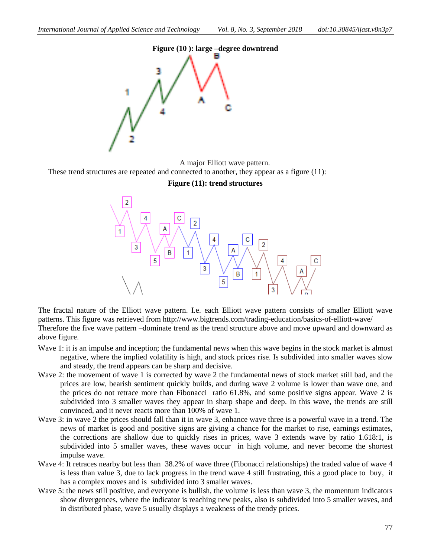

A major Elliott wave pattern.

These trend structures are repeated and connected to another, they appear as a figure (11):

**Figure (11): trend structures**



The fractal nature of the Elliott wave pattern. I.e. each Elliott wave pattern consists of smaller Elliott wave patterns. This figure was retrieved from http://www.bigtrends.com/trading-education/basics-of-elliott-wave/ Therefore the five wave pattern –dominate trend as the trend structure above and move upward and downward as above figure.

- Wave 1: it is an impulse and inception; the fundamental news when this wave begins in the stock market is almost negative, where the implied volatility is high, and stock prices rise. Is subdivided into smaller waves slow and steady, the trend appears can be sharp and decisive.
- Wave 2: the movement of wave 1 is corrected by wave 2 the fundamental news of stock market still bad, and the prices are low, bearish sentiment quickly builds, and during wave 2 volume is lower than wave one, and the prices do not retrace more than Fibonacci ratio 61.8%, and some positive signs appear. Wave 2 is subdivided into 3 smaller waves they appear in sharp shape and deep. In this wave, the trends are still convinced, and it never reacts more than 100% of wave 1.
- Wave 3: in wave 2 the prices should fall than it in wave 3, enhance wave three is a powerful wave in a trend. The news of market is good and positive signs are giving a chance for the market to rise, earnings estimates, the corrections are shallow due to quickly rises in prices, wave 3 extends wave by ratio 1.618:1, is subdivided into 5 smaller waves, these waves occur in high volume, and never become the shortest impulse wave.
- Wave 4: It retraces nearby but less than 38.2% of wave three (Fibonacci relationships) the traded value of wave 4 is less than value 3, due to lack progress in the trend wave 4 still frustrating, this a good place to buy, it has a complex moves and is subdivided into 3 smaller waves.
- Wave 5: the news still positive, and everyone is bullish, the volume is less than wave 3, the momentum indicators show divergences, where the indicator is reaching new peaks, also is subdivided into 5 smaller waves, and in distributed phase, wave 5 usually displays a weakness of the trendy prices.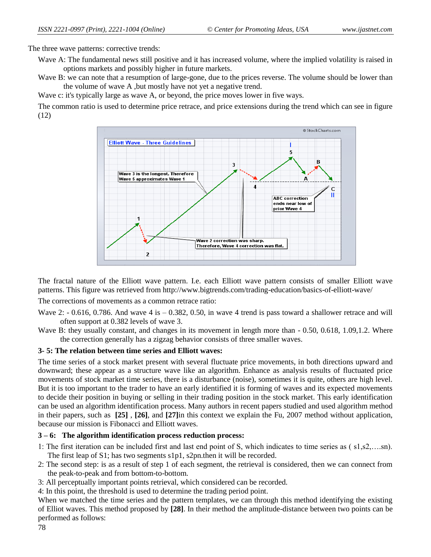The three wave patterns: corrective trends:

Wave A: The fundamental news still positive and it has increased volume, where the implied volatility is raised in options markets and possibly higher in future markets.

Wave B: we can note that a resumption of large-gone, due to the prices reverse. The volume should be lower than the volume of wave A ,but mostly have not yet a negative trend.

Wave c: it's typically large as wave A, or beyond, the price moves lower in five ways.

The common ratio is used to determine price retrace, and price extensions during the trend which can see in figure (12)



The fractal nature of the Elliott wave pattern. I.e. each Elliott wave pattern consists of smaller Elliott wave patterns. This figure was retrieved from http://www.bigtrends.com/trading-education/basics-of-elliott-wave/

The corrections of movements as a common retrace ratio:

- Wave 2:  $-0.616$ , 0.786. And wave 4 is  $-0.382$ , 0.50, in wave 4 trend is pass toward a shallower retrace and will often support at 0.382 levels of wave 3.
- Wave B: they usually constant, and changes in its movement in length more than  $-0.50$ , 0.618, 1.09, 1.2. Where the correction generally has a zigzag behavior consists of three smaller waves.

### **3- 5: The relation between time series and Elliott waves:**

The time series of a stock market present with several fluctuate price movements, in both directions upward and downward; these appear as a structure wave like an algorithm. Enhance as analysis results of fluctuated price movements of stock market time series, there is a disturbance (noise), sometimes it is quite, others are high level. But it is too important to the trader to have an early identified it is forming of waves and its expected movements to decide their position in buying or selling in their trading position in the stock market. This early identification can be used an algorithm identification process. Many authors in recent papers studied and used algorithm method in their papers, such as **[25]** , **[26]**, and **[27]**in this context we explain the Fu, 2007 method without application, because our mission is Fibonacci and Elliott waves.

### **3 – 6: The algorithm identification process reduction process:**

- 1: The first iteration can be included first and last end point of S, which indicates to time series as ( s1,s2,….sn). The first leap of S1; has two segments s1p1, s2pn.then it will be recorded.
- 2: The second step: is as a result of step 1 of each segment, the retrieval is considered, then we can connect from the peak-to-peak and from bottom-to-bottom.
- 3: All perceptually important points retrieval, which considered can be recorded.
- 4: In this point, the threshold is used to determine the trading period point.

When we matched the time series and the pattern templates, we can through this method identifying the existing of Elliot waves. This method proposed by **[28]**. In their method the amplitude-distance between two points can be performed as follows: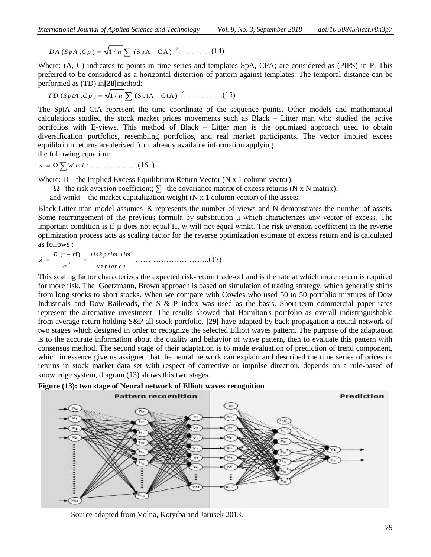*DA* (*SpA*,*CP*) = 
$$
\sqrt{1/n} \sum (SpA - CA)^{-2}
$$
............(14)

Where: (A, C) indicates to points in time series and templates SpA, CPA; are considered as (PIPS) in P. This preferred to be considered as a horizontal distortion of pattern against templates. The temporal distance can be

performed as (TD) in[28] method:  
*TD* (*SptA*,*CP*) = 
$$
\sqrt{1/n} \sum
$$
 (SptA – CtA) <sup>2</sup>.............(15)

The SptA and CtA represent the time coordinate of the sequence points. Other models and mathematical calculations studied the stock market prices movements such as Black – Litter man who studied the active portfolios with E-views. This method of Black – Litter man is the optimized approach used to obtain diversification portfolios, resembling portfolios, and real market participants. The vector implied excess equilibrium returns are derived from already available information applying the following equation:

$$
\pi = \Omega \sum W m k t \dots (16)
$$

Where:  $\Pi$  – the Implied Excess Equilibrium Return Vector (N x 1 column vector);

 $\Omega$ – the risk aversion coefficient;  $\Sigma$ – the covariance matrix of excess returns (N x N matrix);

and wmkt – the market capitalization weight  $(N \times 1)$  column vector) of the assets;

Black-Litter man model assumes K represents the number of views and N demonstrates the number of assets. Some rearrangement of the previous formula by substitution μ which characterizes any vector of excess. The important condition is if  $\mu$  does not equal  $\Pi$ , w will not equal wmkt. The risk aversion coefficient in the reverse optimization process acts as scaling factor for the reverse optimization estimate of excess return and is calculated as follows :

$$
\lambda = \frac{E(\mathbf{r} - \mathbf{r}\mathbf{f})}{\sigma^2} = \frac{risk\, \mathbf{r} \mathbf{r} \mathbf{m} \mathbf{u} \mathbf{r} \mathbf{m}}{\text{var} \mathbf{i} \mathbf{a} \mathbf{n} \mathbf{c} \mathbf{e}} \dots \dots \dots \dots \dots \dots \dots \dots \tag{17}
$$

This scaling factor characterizes the expected risk-return trade-off and is the rate at which more return is required for more risk. The Goetzmann, Brown approach is based on simulation of trading strategy, which generally shifts from long stocks to short stocks. When we compare with Cowles who used 50 to 50 portfolio mixtures of Dow Industrials and Dow Railroads, the S & P index was used as the basis. Short-term commercial paper rates represent the alternative investment. The results showed that Hamilton's portfolio as overall indistinguishable from average return holding S&P all-stock portfolio. **[29]** have adapted by back propagation a neural network of two stages which designed in order to recognize the selected Elliott waves pattern. The purpose of the adaptation is to the accurate information about the quality and behavior of wave pattern, then to evaluate this pattern with consensus method. The second stage of their adaptation is to made evaluation of prediction of trend component, which in essence give us assigned that the neural network can explain and described the time series of prices or returns in stock market data set with respect of corrective or impulse direction, depends on a rule-based of knowledge system, diagram (13) shows this two stages.



**Figure (13): two stage of Neural network of Elliott waves recognition** 

Source adapted from Volna, Kotyrba and Jarusek 2013.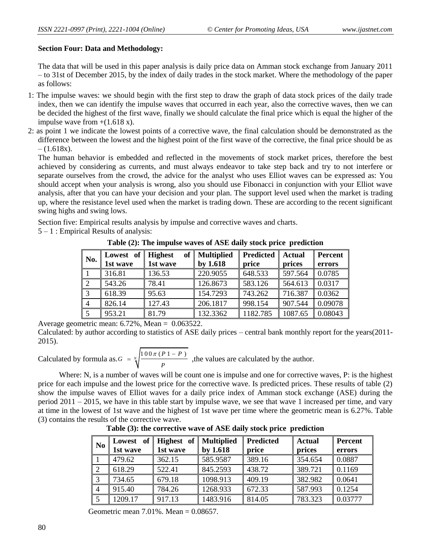## **Section Four: Data and Methodology:**

The data that will be used in this paper analysis is daily price data on Amman stock exchange from January 2011 – to 31st of December 2015, by the index of daily trades in the stock market. Where the methodology of the paper as follows:

- 1: The impulse waves: we should begin with the first step to draw the graph of data stock prices of the daily trade index, then we can identify the impulse waves that occurred in each year, also the corrective waves, then we can be decided the highest of the first wave, finally we should calculate the final price which is equal the higher of the impulse wave from  $+(1.618 \text{ x})$ .
- 2: as point 1 we indicate the lowest points of a corrective wave, the final calculation should be demonstrated as the difference between the lowest and the highest point of the first wave of the corrective, the final price should be as  $- (1.618x)$ .

The human behavior is embedded and reflected in the movements of stock market prices, therefore the best achieved by considering as currents, and must always endeavor to take step back and try to not interfere or separate ourselves from the crowd, the advice for the analyst who uses Elliot waves can be expressed as: You should accept when your analysis is wrong, also you should use Fibonacci in conjunction with your Elliot wave analysis, after that you can have your decision and your plan. The support level used when the market is trading up, where the resistance level used when the market is trading down. These are according to the recent significant swing highs and swing lows.

Section five: Empirical results analysis by impulse and corrective waves and charts.

5 – 1 : Empirical Results of analysis:

**Table (2): The impulse waves of ASE daily stock price prediction**

| No.            | Lowest of | of<br><b>Highest</b> | <b>Multiplied</b> | Predicted | <b>Actual</b> | Percent |
|----------------|-----------|----------------------|-------------------|-----------|---------------|---------|
|                | 1st wave  | 1st wave             | by 1.618          | price     | prices        | errors  |
|                | 316.81    | 136.53               | 220.9055          | 648.533   | 597.564       | 0.0785  |
|                | 543.26    | 78.41                | 126.8673          | 583.126   | 564.613       | 0.0317  |
|                | 618.39    | 95.63                | 154.7293          | 743.262   | 716.387       | 0.0362  |
| $\overline{4}$ | 826.14    | 127.43               | 206.1817          | 998.154   | 907.544       | 0.09078 |
|                | 953.21    | 81.79                | 132.3362          | 1182.785  | 1087.65       | 0.08043 |

Average geometric mean: 6.72%, Mean = 0.063522.

Calculated: by author according to statistics of ASE daily prices – central bank monthly report for the years(2011- 2015).

Calculated by formula as.  $G = \sqrt[n]{\frac{100\pi (P1 - P)}{n}}$ *P*  $=\sqrt[n]{\frac{100\pi (P1-P)}{n}}$ , the values are calculated by the author.

Where: N, is a number of waves will be count one is impulse and one for corrective waves, P: is the highest price for each impulse and the lowest price for the corrective wave. Is predicted prices. These results of table (2) show the impulse waves of Elliot waves for a daily price index of Amman stock exchange (ASE) during the period 2011 – 2015, we have in this table start by impulse wave, we see that wave 1 increased per time, and vary at time in the lowest of 1st wave and the highest of 1st wave per time where the geometric mean is 6.27%. Table (3) contains the results of the corrective wave.

| N <sub>0</sub> | Lowest<br>1st wave | of    Highest of    Multiplied<br>1st wave | by 1.618 | <b>Predicted</b><br>price | <b>Actual</b><br>prices | <b>Percent</b><br>errors |
|----------------|--------------------|--------------------------------------------|----------|---------------------------|-------------------------|--------------------------|
|                | 479.62             | 362.15                                     | 585.9587 | 389.16                    | 354.654                 | 0.0887                   |
|                | 618.29             | 522.41                                     | 845.2593 | 438.72                    | 389.721                 | 0.1169                   |
|                | 734.65             | 679.18                                     | 1098.913 | 409.19                    | 382.982                 | 0.0641                   |
|                | 915.40             | 784.26                                     | 1268.933 | 672.33                    | 587.993                 | 0.1254                   |
|                | 1209.17            | 917.13                                     | 1483.916 | 814.05                    | 783.323                 | 0.03777                  |

**Table (3): the corrective wave of ASE daily stock price prediction**

Geometric mean 7.01%. Mean = 0.08657.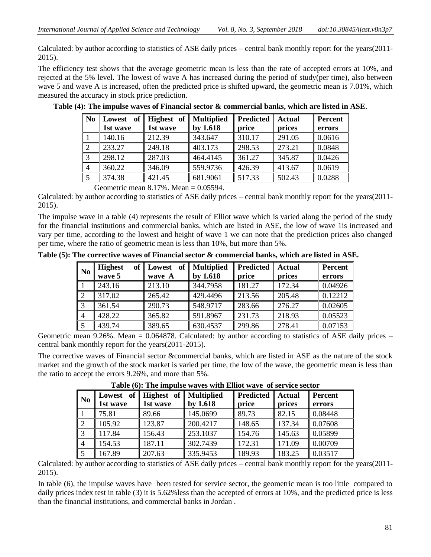Calculated: by author according to statistics of ASE daily prices – central bank monthly report for the years(2011- 2015).

The efficiency test shows that the average geometric mean is less than the rate of accepted errors at 10%, and rejected at the 5% level. The lowest of wave A has increased during the period of study(per time), also between wave 5 and wave A is increased, often the predicted price is shifted upward, the geometric mean is 7.01%, which measured the accuracy in stock price prediction.

| оf<br>Lowest | Highest of |          | <b>Predicted</b> | <b>Actual</b> | <b>Percent</b> |
|--------------|------------|----------|------------------|---------------|----------------|
| 1st wave     | 1st wave   | by 1.618 | price            | prices        | errors         |
| 140.16       | 212.39     | 343.647  | 310.17           | 291.05        | 0.0616         |
| 233.27       | 249.18     | 403.173  | 298.53           | 273.21        | 0.0848         |
| 298.12       | 287.03     | 464.4145 | 361.27           | 345.87        | 0.0426         |
| 360.22       | 346.09     | 559.9736 | 426.39           | 413.67        | 0.0619         |
| 374.38       | 421.45     | 681.9061 | 517.33           | 502.43        | 0.0288         |
|              |            |          | Multiplied       |               |                |

**Table (4): The impulse waves of Financial sector & commercial banks, which are listed in ASE**.

Geometric mean 8.17%. Mean = 0.05594.

Calculated: by author according to statistics of ASE daily prices – central bank monthly report for the years(2011- 2015).

The impulse wave in a table (4) represents the result of Elliot wave which is varied along the period of the study for the financial institutions and commercial banks, which are listed in ASE, the low of wave 1is increased and vary per time, according to the lowest and height of wave 1 we can note that the prediction prices also changed per time, where the ratio of geometric mean is less than 10%, but more than 5%.

**Table (5): The corrective waves of Financial sector & commercial banks, which are listed in ASE.**

| N <sub>0</sub> | <b>Highest</b><br>wave 5 | of Lowest<br>of<br>wave A | Multiplied<br>by 1.618 | <b>Predicted</b><br>price | <b>Actual</b><br>prices | Percent<br>errors |
|----------------|--------------------------|---------------------------|------------------------|---------------------------|-------------------------|-------------------|
|                | 243.16                   | 213.10                    | 344.7958               | 181.27                    | 172.34                  | 0.04926           |
| 2              | 317.02                   | 265.42                    | 429.4496               | 213.56                    | 205.48                  | 0.12212           |
| 3              | 361.54                   | 290.73                    | 548.9717               | 283.66                    | 276.27                  | 0.02605           |
| $\overline{4}$ | 428.22                   | 365.82                    | 591.8967               | 231.73                    | 218.93                  | 0.05523           |
| 5              | 439.74                   | 389.65                    | 630.4537               | 299.86                    | 278.41                  | 0.07153           |

Geometric mean 9.26%. Mean =  $0.064878$ . Calculated: by author according to statistics of ASE daily prices – central bank monthly report for the years(2011-2015).

The corrective waves of Financial sector &commercial banks, which are listed in ASE as the nature of the stock market and the growth of the stock market is varied per time, the low of the wave, the geometric mean is less than the ratio to accept the errors 9.26%, and more than 5%.

| N <sub>0</sub> |          | Lowest of    Highest of    Multiplied |          | <b>Predicted</b> | <b>Actual</b> | Percent |
|----------------|----------|---------------------------------------|----------|------------------|---------------|---------|
|                | 1st wave | 1st wave                              | by 1.618 | price            | prices        | errors  |
|                | 75.81    | 89.66                                 | 145.0699 | 89.73            | 82.15         | 0.08448 |
| 2              | 105.92   | 123.87                                | 200.4217 | 148.65           | 137.34        | 0.07608 |
|                | 117.84   | 156.43                                | 253.1037 | 154.76           | 145.63        | 0.05899 |
|                | 154.53   | 187.11                                | 302.7439 | 172.31           | 171.09        | 0.00709 |
|                | 167.89   | 207.63                                | 335.9453 | 189.93           | 183.25        | 0.03517 |

**Table (6): The impulse waves with Elliot wave of service sector**

Calculated: by author according to statistics of ASE daily prices – central bank monthly report for the years(2011- 2015).

In table (6), the impulse waves have been tested for service sector, the geometric mean is too little compared to daily prices index test in table (3) it is 5.62% less than the accepted of errors at 10%, and the predicted price is less than the financial institutions, and commercial banks in Jordan .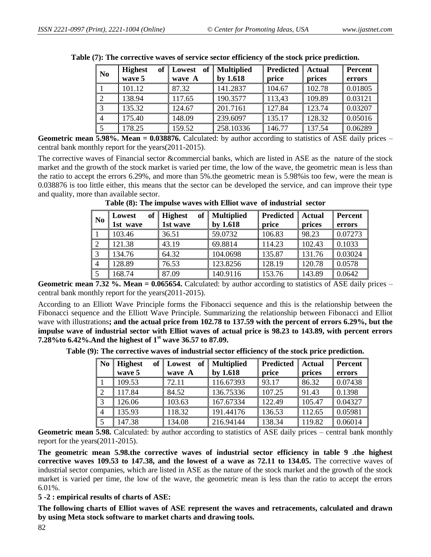| N <sub>0</sub> | of<br><b>Highest</b><br>wave 5 | of<br>Lowest<br>wave A | <b>Multiplied</b><br>by $1.618$ | Predicted<br>price | <b>Actual</b><br>prices | Percent<br>errors |
|----------------|--------------------------------|------------------------|---------------------------------|--------------------|-------------------------|-------------------|
|                | 101.12                         | 87.32                  | 141.2837                        | 104.67             | 102.78                  | 0.01805           |
|                | 138.94                         | 117.65                 | 190.3577                        | 113,43             | 109.89                  | 0.03121           |
|                | 135.32                         | 124.67                 | 201.7161                        | 127.84             | 123.74                  | 0.03207           |
|                | 175.40                         | 148.09                 | 239.6097                        | 135.17             | 128.32                  | 0.05016           |
|                | 178.25                         | 159.52                 | 258.10336                       | 146.77             | 137.54                  | 0.06289           |

|  |  |  |  |  | Table (7): The corrective waves of service sector efficiency of the stock price prediction. |
|--|--|--|--|--|---------------------------------------------------------------------------------------------|
|  |  |  |  |  |                                                                                             |

**Geometric mean 5.98%. Mean = 0.038876.** Calculated: by author according to statistics of ASE daily prices – central bank monthly report for the years(2011-2015).

The corrective waves of Financial sector &commercial banks, which are listed in ASE as the nature of the stock market and the growth of the stock market is varied per time, the low of the wave, the geometric mean is less than the ratio to accept the errors 6.29%, and more than 5%.the geometric mean is 5.98%is too few, were the mean is 0.038876 is too little either, this means that the sector can be developed the service, and can improve their type and quality, more than available sector.

| N <sub>0</sub> | of<br>Lowest<br>1st wave | of<br><b>Highest</b><br>1st wave | <b>Multiplied</b><br>by 1.618 | <b>Predicted</b><br>price | Actual<br>prices | <b>Percent</b><br>errors |
|----------------|--------------------------|----------------------------------|-------------------------------|---------------------------|------------------|--------------------------|
|                | 103.46                   | 36.51                            | 59.0732                       | 106.83                    | 98.23            | 0.07273                  |
| $\overline{2}$ | 121.38                   | 43.19                            | 69.8814                       | 114.23                    | 102.43           | 0.1033                   |
| 3              | 134.76                   | 64.32                            | 104.0698                      | 135.87                    | 131.76           | 0.03024                  |
| $\overline{4}$ | 128.89                   | 76.53                            | 123.8256                      | 128.19                    | 120.78           | 0.0578                   |
| 5              | 168.74                   | 87.09                            | 140.9116                      | 153.76                    | 143.89           | 0.0642                   |

**Table (8): The impulse waves with Elliot wave of industrial sector**

**Geometric mean 7.32 %. Mean = 0.065654.** Calculated: by author according to statistics of ASE daily prices – central bank monthly report for the years(2011-2015).

According to an Elliott Wave Principle forms the Fibonacci sequence and this is the relationship between the Fibonacci sequence and the Elliott Wave Principle. Summarizing the relationship between Fibonacci and Elliot wave with illustrations**; and the actual price from 102.78 to 137.59 with the percent of errors 6.29%, but the impulse wave of industrial sector with Elliot waves of actual price is 98.23 to 143.89, with percent errors 7.28%to 6.42%.And the highest of 1st wave 36.57 to 87.09.** 

**Table (9): The corrective waves of industrial sector efficiency of the stock price prediction.**

| N <sub>0</sub> | <b>Highest</b><br>of <sub>l</sub> | Lowest | of   Multiplied | <b>Predicted</b> | <b>Actual</b> | <b>Percent</b> |
|----------------|-----------------------------------|--------|-----------------|------------------|---------------|----------------|
|                | wave 5                            | wave A | by 1.618        | price            | prices        | errors         |
|                | 109.53                            | 72.11  | 116.67393       | 93.17            | 86.32         | 0.07438        |
| $\overline{2}$ | 117.84                            | 84.52  | 136.75336       | 107.25           | 91.43         | 0.1398         |
| 3              | 126.06                            | 103.63 | 167.67334       | 122.49           | 105.47        | 0.04327        |
| $\overline{4}$ | 135.93                            | 118.32 | 191.44176       | 136.53           | 112.65        | 0.05981        |
|                | 147.38                            | 134.08 | 216.94144       | 138.34           | 119.82        | 0.06014        |

**Geometric mean 5.98.** Calculated: by author according to statistics of ASE daily prices – central bank monthly report for the years(2011-2015).

**The geometric mean 5.98.the corrective waves of industrial sector efficiency in table 9 .the highest corrective waves 109.53 to 147.38, and the lowest of a wave as 72.11 to 134.05.** The corrective waves of industrial sector companies, which are listed in ASE as the nature of the stock market and the growth of the stock market is varied per time, the low of the wave, the geometric mean is less than the ratio to accept the errors 6.01%.

**5 -2 : empirical results of charts of ASE:**

**The following charts of Elliot waves of ASE represent the waves and retracements, calculated and drawn by using Meta stock software to market charts and drawing tools.**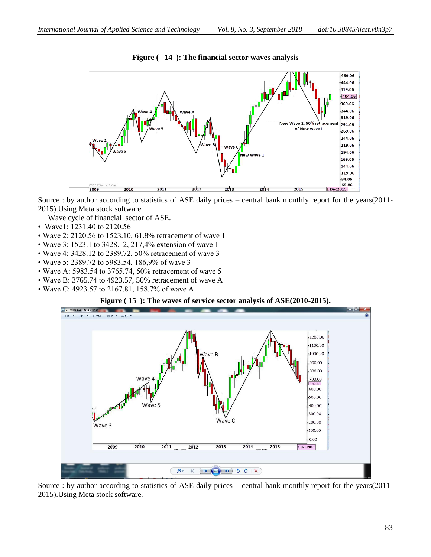

**Figure ( 14 ): The financial sector waves analysis**

Source : by author according to statistics of ASE daily prices – central bank monthly report for the years(2011- 2015).Using Meta stock software.

Wave cycle of financial sector of ASE.

- Wave1: 1231.40 to 2120.56
- Wave 2: 2120.56 to 1523.10, 61.8% retracement of wave 1
- Wave 3: 1523.1 to 3428.12, 217,4% extension of wave 1
- Wave 4: 3428.12 to 2389.72, 50% retracement of wave 3
- Wave 5: 2389.72 to 5983.54, 186,9% of wave 3
- Wave A: 5983.54 to 3765.74, 50% retracement of wave 5
- Wave B: 3765.74 to 4923.57, 50% retracement of wave A
- Wave C: 4923.57 to 2167.81, 158.7% of wave A.

#### **Figure ( 15 ): The waves of service sector analysis of ASE(2010-2015).**



Source : by author according to statistics of ASE daily prices – central bank monthly report for the years(2011- 2015).Using Meta stock software.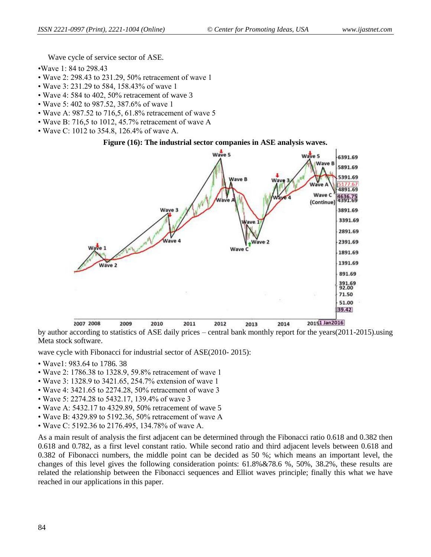Wave cycle of service sector of ASE.

- •Wave 1: 84 to 298.43
- Wave 2: 298.43 to 231.29, 50% retracement of wave 1
- Wave 3: 231.29 to 584, 158.43% of wave 1
- Wave 4: 584 to 402, 50% retracement of wave 3
- Wave 5: 402 to 987.52, 387.6% of wave 1
- Wave A: 987.52 to 716,5, 61.8% retracement of wave 5
- Wave B: 716,5 to 1012, 45.7% retracement of wave A
- Wave C: 1012 to 354.8, 126.4% of wave A.

#### **Figure (16): The industrial sector companies in ASE analysis waves.**



by author according to statistics of ASE daily prices – central bank monthly report for the years(2011-2015).using Meta stock software.

wave cycle with Fibonacci for industrial sector of ASE(2010- 2015):

- Wave1: 983.64 to 1786. 38
- Wave 2: 1786.38 to 1328.9, 59.8% retracement of wave 1
- Wave 3: 1328.9 to 3421.65, 254.7% extension of wave 1
- Wave 4: 3421.65 to 2274.28, 50% retracement of wave 3
- Wave 5: 2274.28 to 5432.17, 139.4% of wave 3
- Wave A: 5432.17 to 4329.89, 50% retracement of wave 5
- Wave B: 4329.89 to 5192.36, 50% retracement of wave A
- Wave C: 5192.36 to 2176.495, 134.78% of wave A.

As a main result of analysis the first adjacent can be determined through the Fibonacci ratio 0.618 and 0.382 then 0.618 and 0.782, as a first level constant ratio. While second ratio and third adjacent levels between 0.618 and 0.382 of Fibonacci numbers, the middle point can be decided as 50 %; which means an important level, the changes of this level gives the following consideration points: 61.8%&78.6 %, 50%, 38.2%, these results are related the relationship between the Fibonacci sequences and Elliot waves principle; finally this what we have reached in our applications in this paper.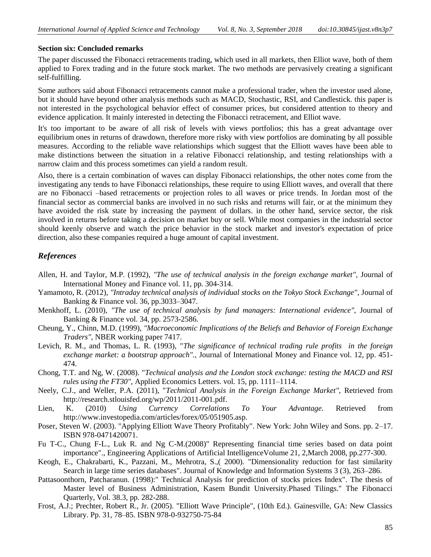#### **Section six: Concluded remarks**

The paper discussed the Fibonacci retracements trading, which used in all markets, then Elliot wave, both of them applied to Forex trading and in the future stock market. The two methods are pervasively creating a significant self-fulfilling.

Some authors said about Fibonacci retracements cannot make a professional trader, when the investor used alone, but it should have beyond other analysis methods such as MACD, Stochastic, RSI, and Candlestick. this paper is not interested in the psychological behavior effect of consumer prices, but considered attention to theory and evidence application. It mainly interested in detecting the Fibonacci retracement, and Elliot wave.

It's too important to be aware of all risk of levels with views portfolios; this has a great advantage over equilibrium ones in returns of drawdown, therefore more risky with view portfolios are dominating by all possible measures. According to the reliable wave relationships which suggest that the Elliott waves have been able to make distinctions between the situation in a relative Fibonacci relationship, and testing relationships with a narrow claim and this process sometimes can yield a random result.

Also, there is a certain combination of waves can display Fibonacci relationships, the other notes come from the investigating any tends to have Fibonacci relationships, these require to using Elliott waves, and overall that there are no Fibonacci –based retracements or projection roles to all waves or price trends. In Jordan most of the financial sector as commercial banks are involved in no such risks and returns will fair, or at the minimum they have avoided the risk state by increasing the payment of dollars. in the other hand, service sector, the risk involved in returns before taking a decision on market buy or sell. While most companies in the industrial sector should keenly observe and watch the price behavior in the stock market and investor's expectation of price direction, also these companies required a huge amount of capital investment.

## *References*

- Allen, H. and Taylor, M.P. (1992), *"The use of technical analysis in the foreign exchange market"*, Journal of International Money and Finance vol. 11, pp. 304-314.
- Yamamoto, R. (2012), *"Intraday technical analysis of individual stocks on the Tokyo Stock Exchange"*, Journal of Banking & Finance vol. 36, pp.3033–3047.
- Menkhoff, L. (2010), *"The use of technical analysis by fund managers: International evidence"*, Journal of Banking & Finance vol. 34, pp. 2573-2586.
- Cheung, Y., Chinn, M.D. (1999), *"Macroeconomic Implications of the Beliefs and Behavior of Foreign Exchange Traders",* NBER working paper 7417.
- Levich, R. M., and Thomas, L. R. (1993), "*The significance of technical trading rule profits in the foreign exchange market: a bootstrap approach".,* Journal of International Money and Finance vol. 12, pp. 451- 474.
- Chong, T.T. and Ng, W. (2008). "*Technical analysis and the London stock exchange: testing the MACD and RSI rules using the FT30",* Applied Economics Letters. vol. 15, pp. 1111–1114.
- Neely, C.J., and Weller, P.A. (2011), "*Technical Analysis in the Foreign Exchange Market",* Retrieved from http://research.stlouisfed.org/wp/2011/2011-001.pdf.
- Lien, K. (2010) *Using Currency Correlations To Your Advantage.* Retrieved from [http://www.investopedia.com/articles/forex/05/051905.asp.](http://www.investopedia.com/articles/forex/05/051905.asp)
- Poser, Steven W. (2003). "Applying Elliott Wave Theory Profitably". New York: John Wiley and Sons. pp. 2–17. ISBN 978-0471420071.
- Fu T-C., Chung F-L., Luk R. and Ng C-M.(2008)" Representing financial time series based on data point importance"., Engineering Applications of Artificial IntelligenceVolume 21, 2,March 2008, pp.277-300.
- Keogh, E., Chakrabarti, K., Pazzani, M., Mehrotra, S.,( 2000). "Dimensionality reduction for fast similarity Search in large time series databases". Journal of Knowledge and Information Systems 3 (3), 263–286.
- Pattasoonthorn, Patcharanun. (1998):" Technical Analysis for prediction of stocks prices Index". The thesis of Master level of Business Administration, Kasem Bundit University.Phased Tilings." The Fibonacci Quarterly, Vol. 38.3, pp. 282-288.
- Frost, A.J.; Prechter, Robert R., Jr. (2005). "Elliott Wave Principle", (10th Ed.). Gainesville, GA: New Classics Library. Pp. 31, 78–85. ISBN 978-0-932750-75-84